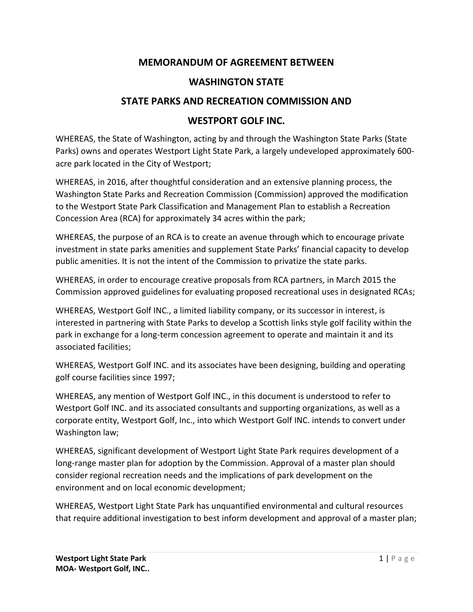# **MEMORANDUM OF AGREEMENT BETWEEN**

# **WASHINGTON STATE**

# **STATE PARKS AND RECREATION COMMISSION AND**

## **WESTPORT GOLF INC.**

WHEREAS, the State of Washington, acting by and through the Washington State Parks (State Parks) owns and operates Westport Light State Park, a largely undeveloped approximately 600 acre park located in the City of Westport;

WHEREAS, in 2016, after thoughtful consideration and an extensive planning process, the Washington State Parks and Recreation Commission (Commission) approved the modification to the Westport State Park Classification and Management Plan to establish a Recreation Concession Area (RCA) for approximately 34 acres within the park;

WHEREAS, the purpose of an RCA is to create an avenue through which to encourage private investment in state parks amenities and supplement State Parks' financial capacity to develop public amenities. It is not the intent of the Commission to privatize the state parks.

WHEREAS, in order to encourage creative proposals from RCA partners, in March 2015 the Commission approved guidelines for evaluating proposed recreational uses in designated RCAs;

WHEREAS, Westport Golf INC., a limited liability company, or its successor in interest, is interested in partnering with State Parks to develop a Scottish links style golf facility within the park in exchange for a long-term concession agreement to operate and maintain it and its associated facilities;

WHEREAS, Westport Golf INC. and its associates have been designing, building and operating golf course facilities since 1997;

WHEREAS, any mention of Westport Golf INC., in this document is understood to refer to Westport Golf INC. and its associated consultants and supporting organizations, as well as a corporate entity, Westport Golf, Inc., into which Westport Golf INC. intends to convert under Washington law;

WHEREAS, significant development of Westport Light State Park requires development of a long-range master plan for adoption by the Commission. Approval of a master plan should consider regional recreation needs and the implications of park development on the environment and on local economic development;

WHEREAS, Westport Light State Park has unquantified environmental and cultural resources that require additional investigation to best inform development and approval of a master plan;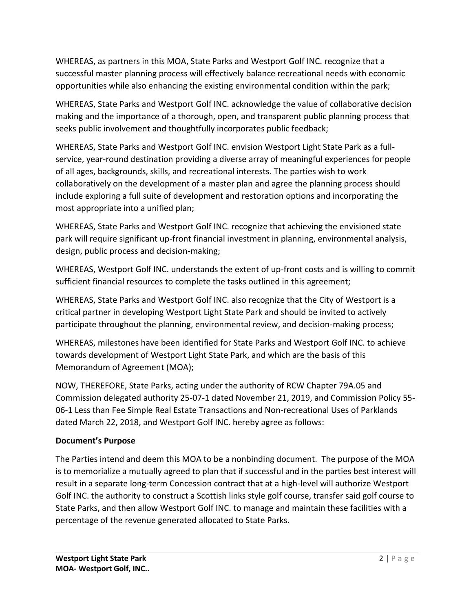WHEREAS, as partners in this MOA, State Parks and Westport Golf INC. recognize that a successful master planning process will effectively balance recreational needs with economic opportunities while also enhancing the existing environmental condition within the park;

WHEREAS, State Parks and Westport Golf INC. acknowledge the value of collaborative decision making and the importance of a thorough, open, and transparent public planning process that seeks public involvement and thoughtfully incorporates public feedback;

WHEREAS, State Parks and Westport Golf INC. envision Westport Light State Park as a fullservice, year-round destination providing a diverse array of meaningful experiences for people of all ages, backgrounds, skills, and recreational interests. The parties wish to work collaboratively on the development of a master plan and agree the planning process should include exploring a full suite of development and restoration options and incorporating the most appropriate into a unified plan;

WHEREAS, State Parks and Westport Golf INC. recognize that achieving the envisioned state park will require significant up-front financial investment in planning, environmental analysis, design, public process and decision-making;

WHEREAS, Westport Golf INC. understands the extent of up-front costs and is willing to commit sufficient financial resources to complete the tasks outlined in this agreement;

WHEREAS, State Parks and Westport Golf INC. also recognize that the City of Westport is a critical partner in developing Westport Light State Park and should be invited to actively participate throughout the planning, environmental review, and decision-making process;

WHEREAS, milestones have been identified for State Parks and Westport Golf INC. to achieve towards development of Westport Light State Park, and which are the basis of this Memorandum of Agreement (MOA);

NOW, THEREFORE, State Parks, acting under the authority of RCW Chapter 79A.05 and Commission delegated authority 25-07-1 dated November 21, 2019, and Commission Policy 55- 06-1 Less than Fee Simple Real Estate Transactions and Non-recreational Uses of Parklands dated March 22, 2018, and Westport Golf INC. hereby agree as follows:

## **Document's Purpose**

The Parties intend and deem this MOA to be a nonbinding document. The purpose of the MOA is to memorialize a mutually agreed to plan that if successful and in the parties best interest will result in a separate long-term Concession contract that at a high-level will authorize Westport Golf INC. the authority to construct a Scottish links style golf course, transfer said golf course to State Parks, and then allow Westport Golf INC. to manage and maintain these facilities with a percentage of the revenue generated allocated to State Parks.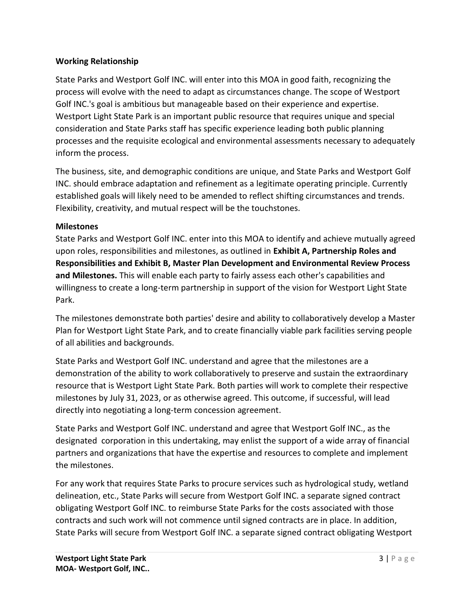## **Working Relationship**

State Parks and Westport Golf INC. will enter into this MOA in good faith, recognizing the process will evolve with the need to adapt as circumstances change. The scope of Westport Golf INC.'s goal is ambitious but manageable based on their experience and expertise. Westport Light State Park is an important public resource that requires unique and special consideration and State Parks staff has specific experience leading both public planning processes and the requisite ecological and environmental assessments necessary to adequately inform the process.

The business, site, and demographic conditions are unique, and State Parks and Westport Golf INC. should embrace adaptation and refinement as a legitimate operating principle. Currently established goals will likely need to be amended to reflect shifting circumstances and trends. Flexibility, creativity, and mutual respect will be the touchstones.

## **Milestones**

State Parks and Westport Golf INC. enter into this MOA to identify and achieve mutually agreed upon roles, responsibilities and milestones, as outlined in **Exhibit A, Partnership Roles and Responsibilities and Exhibit B, Master Plan Development and Environmental Review Process and Milestones.** This will enable each party to fairly assess each other's capabilities and willingness to create a long-term partnership in support of the vision for Westport Light State Park.

The milestones demonstrate both parties' desire and ability to collaboratively develop a Master Plan for Westport Light State Park, and to create financially viable park facilities serving people of all abilities and backgrounds.

State Parks and Westport Golf INC. understand and agree that the milestones are a demonstration of the ability to work collaboratively to preserve and sustain the extraordinary resource that is Westport Light State Park. Both parties will work to complete their respective milestones by July 31, 2023, or as otherwise agreed. This outcome, if successful, will lead directly into negotiating a long-term concession agreement.

State Parks and Westport Golf INC. understand and agree that Westport Golf INC., as the designated corporation in this undertaking, may enlist the support of a wide array of financial partners and organizations that have the expertise and resources to complete and implement the milestones.

For any work that requires State Parks to procure services such as hydrological study, wetland delineation, etc., State Parks will secure from Westport Golf INC. a separate signed contract obligating Westport Golf INC. to reimburse State Parks for the costs associated with those contracts and such work will not commence until signed contracts are in place. In addition, State Parks will secure from Westport Golf INC. a separate signed contract obligating Westport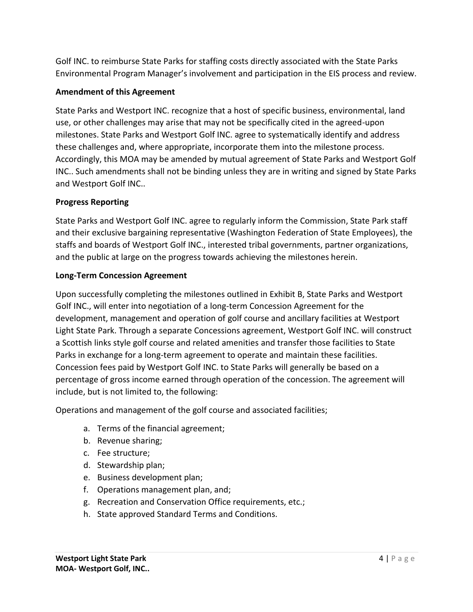Golf INC. to reimburse State Parks for staffing costs directly associated with the State Parks Environmental Program Manager's involvement and participation in the EIS process and review.

## **Amendment of this Agreement**

State Parks and Westport INC. recognize that a host of specific business, environmental, land use, or other challenges may arise that may not be specifically cited in the agreed-upon milestones. State Parks and Westport Golf INC. agree to systematically identify and address these challenges and, where appropriate, incorporate them into the milestone process. Accordingly, this MOA may be amended by mutual agreement of State Parks and Westport Golf INC.. Such amendments shall not be binding unless they are in writing and signed by State Parks and Westport Golf INC..

## **Progress Reporting**

State Parks and Westport Golf INC. agree to regularly inform the Commission, State Park staff and their exclusive bargaining representative (Washington Federation of State Employees), the staffs and boards of Westport Golf INC., interested tribal governments, partner organizations, and the public at large on the progress towards achieving the milestones herein.

## **Long-Term Concession Agreement**

Upon successfully completing the milestones outlined in Exhibit B, State Parks and Westport Golf INC., will enter into negotiation of a long-term Concession Agreement for the development, management and operation of golf course and ancillary facilities at Westport Light State Park. Through a separate Concessions agreement, Westport Golf INC. will construct a Scottish links style golf course and related amenities and transfer those facilities to State Parks in exchange for a long-term agreement to operate and maintain these facilities. Concession fees paid by Westport Golf INC. to State Parks will generally be based on a percentage of gross income earned through operation of the concession. The agreement will include, but is not limited to, the following:

Operations and management of the golf course and associated facilities;

- a. Terms of the financial agreement;
- b. Revenue sharing;
- c. Fee structure;
- d. Stewardship plan;
- e. Business development plan;
- f. Operations management plan, and;
- g. Recreation and Conservation Office requirements, etc.;
- h. State approved Standard Terms and Conditions.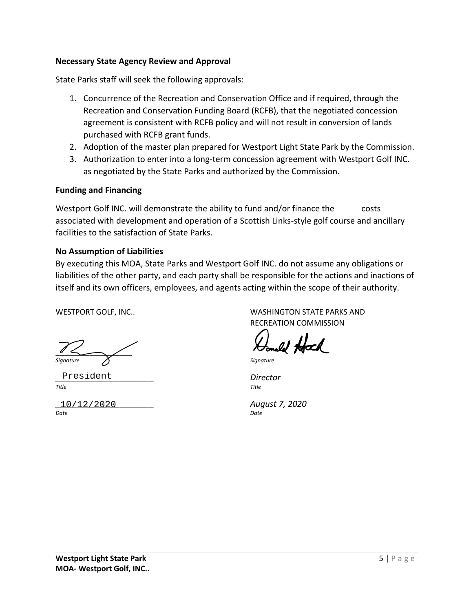#### **Necessary State Agency Review and Approval**

State Parks staff will seek the following approvals:

- 1. Concurrence of the Recreation and Conservation Office and if required, through the Recreation and Conservation Funding Board (RCFB), that the negotiated concession agreement is consistent with RCFB policy and will not result in conversion of lands purchased with RCFB grant funds.
- 2. Adoption of the master plan prepared for Westport Light State Park by the Commission.
- 3. Authorization to enter into a long-term concession agreement with Westport Golf INC. as negotiated by the State Parks and authorized by the Commission.

### **Funding and Financing**

Westport Golf INC. will demonstrate the ability to fund and/or finance the costs associated with development and operation of a Scottish Links-style golf course and ancillary facilities to the satisfaction of State Parks.

### **No Assumption of Liabilities**

By executing this MOA, State Parks and Westport Golf INC. do not assume any obligations or liabilities of the other party, and each party shall be responsible for the actions and inactions of itself and its own officers, employees, and agents acting within the scope of their authority.

 $\frac{1}{2}$ *Signature Signature*

*\_\_\_\_\_\_\_\_\_\_\_\_\_\_\_\_\_\_\_\_\_\_\_\_\_\_\_\_\_\_\_\_ Director* President *Title Title*

*\_\_\_\_\_\_\_\_\_\_\_\_\_\_\_\_\_\_\_\_\_\_\_\_\_\_\_\_\_\_\_\_ August 7, 2020* 10/12/2020*Date Date*

WESTPORT GOLF, INC.. THE STATE OF STATE ON A WASHINGTON STATE PARKS AND RECREATION COMMISSION

Incell Hold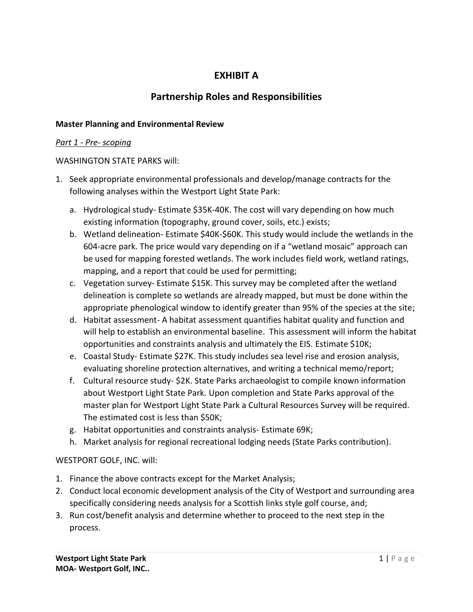# **EXHIBIT A**

# **Partnership Roles and Responsibilities**

### **Master Planning and Environmental Review**

#### *Part 1 - Pre- scoping*

#### WASHINGTON STATE PARKS will:

- 1. Seek appropriate environmental professionals and develop/manage contracts for the following analyses within the Westport Light State Park:
	- a. Hydrological study- Estimate \$35K-40K. The cost will vary depending on how much existing information (topography, ground cover, soils, etc.) exists;
	- b. Wetland delineation- Estimate \$40K-\$60K. This study would include the wetlands in the 604-acre park. The price would vary depending on if a "wetland mosaic" approach can be used for mapping forested wetlands. The work includes field work, wetland ratings, mapping, and a report that could be used for permitting;
	- c. Vegetation survey- Estimate \$15K. This survey may be completed after the wetland delineation is complete so wetlands are already mapped, but must be done within the appropriate phenological window to identify greater than 95% of the species at the site;
	- d. Habitat assessment- A habitat assessment quantifies habitat quality and function and will help to establish an environmental baseline. This assessment will inform the habitat opportunities and constraints analysis and ultimately the EIS. Estimate \$10K;
	- e. Coastal Study- Estimate \$27K. This study includes sea level rise and erosion analysis, evaluating shoreline protection alternatives, and writing a technical memo/report;
	- f. Cultural resource study- \$2K. State Parks archaeologist to compile known information about Westport Light State Park. Upon completion and State Parks approval of the master plan for Westport Light State Park a Cultural Resources Survey will be required. The estimated cost is less than \$50K;
	- g. Habitat opportunities and constraints analysis- Estimate 69K;
	- h. Market analysis for regional recreational lodging needs (State Parks contribution).

## WESTPORT GOLF, INC. will:

- 1. Finance the above contracts except for the Market Analysis;
- 2. Conduct local economic development analysis of the City of Westport and surrounding area specifically considering needs analysis for a Scottish links style golf course, and;
- 3. Run cost/benefit analysis and determine whether to proceed to the next step in the process.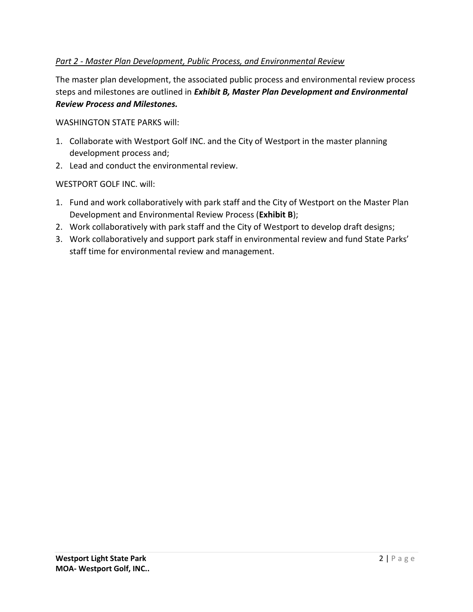## *Part 2 - Master Plan Development, Public Process, and Environmental Review*

The master plan development, the associated public process and environmental review process steps and milestones are outlined in *Exhibit B, Master Plan Development and Environmental Review Process and Milestones.* 

WASHINGTON STATE PARKS will:

- 1. Collaborate with Westport Golf INC. and the City of Westport in the master planning development process and;
- 2. Lead and conduct the environmental review.

WESTPORT GOLF INC. will:

- 1. Fund and work collaboratively with park staff and the City of Westport on the Master Plan Development and Environmental Review Process (**Exhibit B**);
- 2. Work collaboratively with park staff and the City of Westport to develop draft designs;
- 3. Work collaboratively and support park staff in environmental review and fund State Parks' staff time for environmental review and management.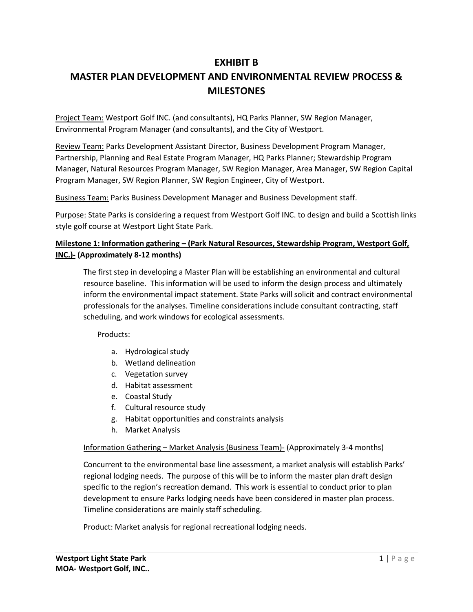## **EXHIBIT B**

# **MASTER PLAN DEVELOPMENT AND ENVIRONMENTAL REVIEW PROCESS & MILESTONES**

Project Team: Westport Golf INC. (and consultants), HQ Parks Planner, SW Region Manager, Environmental Program Manager (and consultants), and the City of Westport.

Review Team: Parks Development Assistant Director, Business Development Program Manager, Partnership, Planning and Real Estate Program Manager, HQ Parks Planner; Stewardship Program Manager, Natural Resources Program Manager, SW Region Manager, Area Manager, SW Region Capital Program Manager, SW Region Planner, SW Region Engineer, City of Westport.

Business Team: Parks Business Development Manager and Business Development staff.

Purpose: State Parks is considering a request from Westport Golf INC. to design and build a Scottish links style golf course at Westport Light State Park.

### **Milestone 1: Information gathering – (Park Natural Resources, Stewardship Program, Westport Golf, INC.)- (Approximately 8-12 months)**

The first step in developing a Master Plan will be establishing an environmental and cultural resource baseline. This information will be used to inform the design process and ultimately inform the environmental impact statement. State Parks will solicit and contract environmental professionals for the analyses. Timeline considerations include consultant contracting, staff scheduling, and work windows for ecological assessments.

Products:

- a. Hydrological study
- b. Wetland delineation
- c. Vegetation survey
- d. Habitat assessment
- e. Coastal Study
- f. Cultural resource study
- g. Habitat opportunities and constraints analysis
- h. Market Analysis

#### Information Gathering – Market Analysis (Business Team)- (Approximately 3-4 months)

Concurrent to the environmental base line assessment, a market analysis will establish Parks' regional lodging needs. The purpose of this will be to inform the master plan draft design specific to the region's recreation demand. This work is essential to conduct prior to plan development to ensure Parks lodging needs have been considered in master plan process. Timeline considerations are mainly staff scheduling.

Product: Market analysis for regional recreational lodging needs.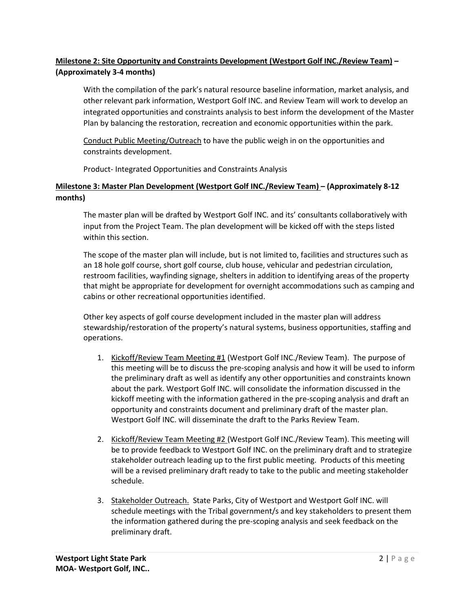## **Milestone 2: Site Opportunity and Constraints Development (Westport Golf INC./Review Team) – (Approximately 3-4 months)**

With the compilation of the park's natural resource baseline information, market analysis, and other relevant park information, Westport Golf INC. and Review Team will work to develop an integrated opportunities and constraints analysis to best inform the development of the Master Plan by balancing the restoration, recreation and economic opportunities within the park.

Conduct Public Meeting/Outreach to have the public weigh in on the opportunities and constraints development.

Product- Integrated Opportunities and Constraints Analysis

## **Milestone 3: Master Plan Development (Westport Golf INC./Review Team) – (Approximately 8-12 months)**

The master plan will be drafted by Westport Golf INC. and its' consultants collaboratively with input from the Project Team. The plan development will be kicked off with the steps listed within this section.

The scope of the master plan will include, but is not limited to, facilities and structures such as an 18 hole golf course, short golf course, club house, vehicular and pedestrian circulation, restroom facilities, wayfinding signage, shelters in addition to identifying areas of the property that might be appropriate for development for overnight accommodations such as camping and cabins or other recreational opportunities identified.

Other key aspects of golf course development included in the master plan will address stewardship/restoration of the property's natural systems, business opportunities, staffing and operations.

- 1. Kickoff/Review Team Meeting #1 (Westport Golf INC./Review Team). The purpose of this meeting will be to discuss the pre-scoping analysis and how it will be used to inform the preliminary draft as well as identify any other opportunities and constraints known about the park. Westport Golf INC. will consolidate the information discussed in the kickoff meeting with the information gathered in the pre-scoping analysis and draft an opportunity and constraints document and preliminary draft of the master plan. Westport Golf INC. will disseminate the draft to the Parks Review Team.
- 2. Kickoff/Review Team Meeting #2 (Westport Golf INC./Review Team). This meeting will be to provide feedback to Westport Golf INC. on the preliminary draft and to strategize stakeholder outreach leading up to the first public meeting. Products of this meeting will be a revised preliminary draft ready to take to the public and meeting stakeholder schedule.
- 3. Stakeholder Outreach. State Parks, City of Westport and Westport Golf INC. will schedule meetings with the Tribal government/s and key stakeholders to present them the information gathered during the pre-scoping analysis and seek feedback on the preliminary draft.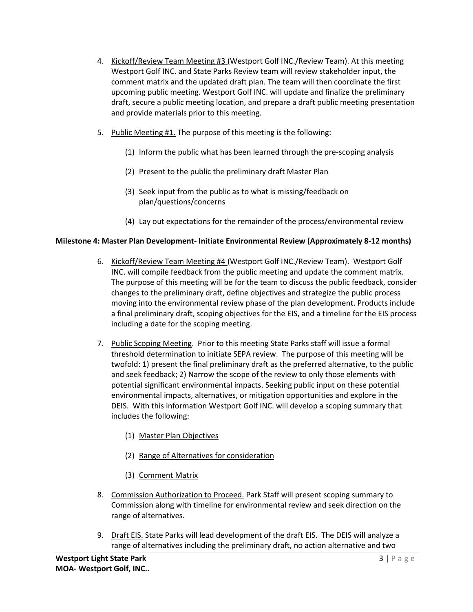- 4. Kickoff/Review Team Meeting #3 (Westport Golf INC./Review Team). At this meeting Westport Golf INC. and State Parks Review team will review stakeholder input, the comment matrix and the updated draft plan. The team will then coordinate the first upcoming public meeting. Westport Golf INC. will update and finalize the preliminary draft, secure a public meeting location, and prepare a draft public meeting presentation and provide materials prior to this meeting.
- 5. Public Meeting #1. The purpose of this meeting is the following:
	- (1) Inform the public what has been learned through the pre-scoping analysis
	- (2) Present to the public the preliminary draft Master Plan
	- (3) Seek input from the public as to what is missing/feedback on plan/questions/concerns
	- (4) Lay out expectations for the remainder of the process/environmental review

#### **Milestone 4: Master Plan Development- Initiate Environmental Review (Approximately 8-12 months)**

- 6. Kickoff/Review Team Meeting #4 (Westport Golf INC./Review Team). Westport Golf INC. will compile feedback from the public meeting and update the comment matrix. The purpose of this meeting will be for the team to discuss the public feedback, consider changes to the preliminary draft, define objectives and strategize the public process moving into the environmental review phase of the plan development. Products include a final preliminary draft, scoping objectives for the EIS, and a timeline for the EIS process including a date for the scoping meeting.
- 7. Public Scoping Meeting. Prior to this meeting State Parks staff will issue a formal threshold determination to initiate SEPA review. The purpose of this meeting will be twofold: 1) present the final preliminary draft as the preferred alternative, to the public and seek feedback; 2) Narrow the scope of the review to only those elements with potential significant environmental impacts. Seeking public input on these potential environmental impacts, alternatives, or mitigation opportunities and explore in the DEIS. With this information Westport Golf INC. will develop a scoping summary that includes the following:
	- (1) Master Plan Objectives
	- (2) Range of Alternatives for consideration
	- (3) Comment Matrix
- 8. Commission Authorization to Proceed. Park Staff will present scoping summary to Commission along with timeline for environmental review and seek direction on the range of alternatives.
- 9. Draft EIS. State Parks will lead development of the draft EIS. The DEIS will analyze a range of alternatives including the preliminary draft, no action alternative and two